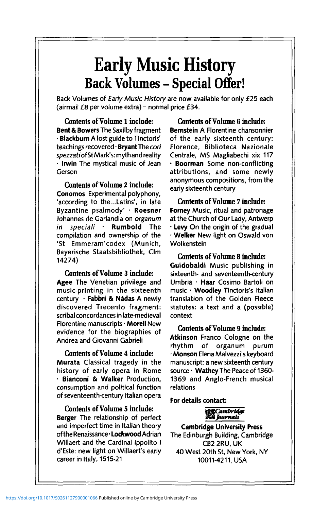# **Early Music History Back Volumes - Special Offer!**

Back Volumes of Early Music History are now available for only £25 each (airmail  $£8$  per volume extra) – normal price  $£34$ .

**Contents of Volume 1 include: Bent & Bowers** The Saxilby fragment • **Blackburn** A lost guide to Tinctoris' teachings recovered • **Bryant** The cori spezzati of StMark's: myth and reality • **Irwin** The mystical music of Jean Gerson

#### **Contents of Volume 2 include:**

**Conomos** Experimental polyphony, 'according to the...Latins', in late Byzantine psalmody' - **Roesner** Johannes de Garlandia on organum in speciali • **Rumbold** The compilation and ownership of the 'St Emmeram'codex (Munich, Bayerische Staatsbibliothek, Clm 14274)

#### **Contents of Volume 3 include:**

**Agee** The Venetian privilege and music-printing in the sixteenth century • **Fabbri & Nadas** A newly discovered Trecento fragment: scribal concordances in late-medieval Florentine manuscripts • **Morell** New evidence for the biographies of Andrea and Giovanni Gabrieli

#### **Contents of Volume 4 include:**

**Murata** Classical tragedy in the history of early opera in Rome • **Bianconi & Walker** Production, consumption and political function of seventeenth-century Italian opera

## **Contents of Volume 5 include:**

**Berger** The relationship of perfect and imperfect time in Italian theory of the Renaissance • **Lockwood** Adrian Willaert and the Cardinal Ippolito I d'Este: new light on Willaert's early career in Italy, 1515-21

**Contents of Volume 6 include: Bernstein** A Florentine chansonnier of the early sixteenth century: Florence, Biblioteca Nazionale Centrale, MS Magliabechi xix 117 • **Boorman** Some non-conflicting attributions, and some newly anonymous compositions, from the early sixteenth century

**Contents of Volume 7 include: Forney** Music, ritual and patronage at the Church of Our Lady, Antwerp • **Levy** On the origin of the gradual • **Welker** New light on Oswald von Wolkenstein

**Contents of Volume 8 include: Guidobaldi** Music publishing in sixteenth- and seventeenth-century Umbria • **Haar** Cosimo Bartoli on music - **Woodley** Tinctoris's Italian translation of the Golden Fleece statutes: a text and a (possible) context

**Contents of Volume 9 include: Atkinson** Franco Cologne on the rhythm of organum purum - **Monson** Elena Malvezzi's keyboard manuscript: a new sixteenth century source- **Wathey** The Peace of 1360- 1369 and Anglo-French musical relations

#### **For details contact:**

## **ECambridge** *\ Journals*

**Cambridge University Press** The Edinburgh Building, Cambridge CB<sub>2</sub> 2RU, UK 40 West 20th St, New York, NY 10011-4211, USA